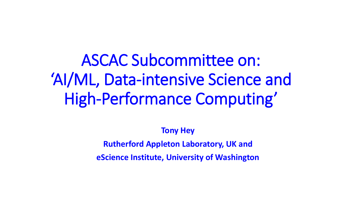ASCAC Subcommittee on: 'AI/ML, Data-intensive Science and High-Performance Computing'

**Tony Hey**

**Rutherford Appleton Laboratory, UK and** 

**eScience Institute, University of Washington**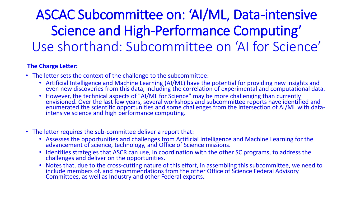# ASCAC Subcommittee on: 'AI/ML, Data-intensive Science and High-Performance Computing' Use shorthand: Subcommittee on 'AI for Science'

#### **The Charge Letter:**

- The letter sets the context of the challenge to the subcommittee:
	- Artificial Intelligence and Machine Learning (AI/ML) have the potential for providing new insights and even new discoveries from this data, including the correlation of experimental and computational data.
	- However, the technical aspects of "AI/ML for Science" may be more challenging than currently envisioned. Over the last few years, several workshops and subcommittee reports have identified and enumerated the scientific opportunities and some challenges from the intersection of AI/ML with dataintensive science and high performance computing.
- The letter requires the sub-committee deliver a report that:
	- Assesses the opportunities and challenges from Artificial Intelligence and Machine Learning for the advancement of science, technology, and Office of Science missions.
	- Identifies strategies that ASCR can use, in coordination with the other SC programs, to address the challenges and deliver on the opportunities.
	- Notes that, due to the cross-cutting nature of this effort, in assembling this subcommittee, we need to include members of, and recommendations from the other Office of Science Federal Advisory Committees, as well as Industry and other Federal experts.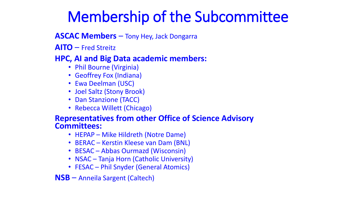# Membership of the Subcommittee

#### **ASCAC Members** – Tony Hey, Jack Dongarra

**AITO** – Fred Streitz

#### **HPC, AI and Big Data academic members:**

- Phil Bourne (Virginia)
- Geoffrey Fox (Indiana)
- Ewa Deelman (USC)
- Joel Saltz (Stony Brook)
- Dan Stanzione (TACC)
- Rebecca Willett (Chicago)

#### **Representatives from other Office of Science Advisory Committees:**

- HEPAP Mike Hildreth (Notre Dame)
- BERAC Kerstin Kleese van Dam (BNL)
- BESAC Abbas Ourmazd (Wisconsin)
- NSAC Tanja Horn (Catholic University)
- FESAC Phil Snyder (General Atomics)
- **NSB** Anneila Sargent (Caltech)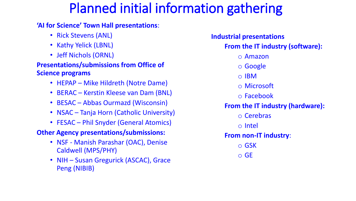## Planned initial information gathering

#### **'AI for Science' Town Hall presentations**:

- Rick Stevens (ANL)
- Kathy Yelick (LBNL)
- Jeff Nichols (ORNL)

#### **Presentations/submissions from Office of Science programs**

- HEPAP Mike Hildreth (Notre Dame)
- BERAC Kerstin Kleese van Dam (BNL)
- BESAC Abbas Ourmazd (Wisconsin)
- NSAC Tanja Horn (Catholic University)
- FESAC Phil Snyder (General Atomics)

#### **Other Agency presentations/submissions:**

- NSF Manish Parashar (OAC), Denise Caldwell (MPS/PHY)
- NIH Susan Gregurick (ASCAC), Grace Peng (NIBIB)

#### **Industrial presentations**

#### **From the IT industry (software):**

- o Amazon
- o Google
- o IBM
- o Microsoft
- o Facebook

#### **From the IT industry (hardware):**

- o Cerebras
- o Intel

#### **From non-IT industry**:

- o GSK
- o GE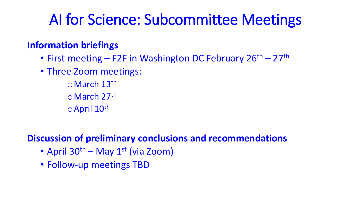# AI for Science: Subcommittee Meetings

## **Information briefings**

- First meeting F2F in Washington DC February 26<sup>th</sup> 27<sup>th</sup>
- Three Zoom meetings:
	- oMarch 13th oMarch 27th oApril 10th

## **Discussion of preliminary conclusions and recommendations**

- April  $30^{th}$  May  $1^{st}$  (via Zoom)
- Follow-up meetings TBD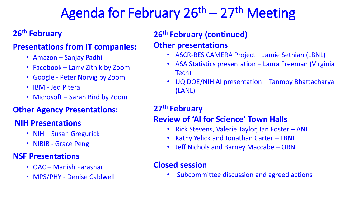# Agenda for February 26<sup>th</sup> – 27<sup>th</sup> Meeting

## **26th February**

#### **Presentations from IT companies:**

- Amazon Sanjay Padhi
- Facebook Larry Zitnik by Zoom
- Google Peter Norvig by Zoom
- IBM Jed Pitera
- Microsoft Sarah Bird by Zoom

### **Other Agency Presentations:**

### **NIH Presentations**

- NIH Susan Gregurick
- NIBIB Grace Peng

### **NSF Presentations**

- OAC Manish Parashar
- MPS/PHY Denise Caldwell

## **26th February (continued)**

### **Other presentations**

- ASCR-BES CAMERA Project Jamie Sethian (LBNL)
- ASA Statistics presentation Laura Freeman (Virginia Tech)
- UQ DOE/NIH AI presentation Tanmoy Bhattacharya (LANL)

## **27th February**

### **Review of 'AI for Science' Town Halls**

- Rick Stevens, Valerie Taylor, Ian Foster ANL
- Kathy Yelick and Jonathan Carter LBNL
- Jeff Nichols and Barney Maccabe ORNL

### **Closed session**

• Subcommittee discussion and agreed actions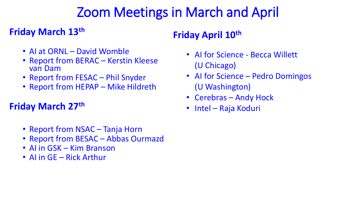# Zoom Meetings in March and April

## **Friday March 13th**

- AI at ORNL David Womble
- Report from BERAC Kerstin Kleese van Dam
- Report from FESAC Phil Snyder
- Report from HEPAP Mike Hildreth

## **Friday March 27th**

- Report from NSAC Tanja Horn
- Report from BESAC Abbas Ourmazd
- AI in GSK Kim Branson
- AI in GE Rick Arthur

## **Friday April 10th**

- AI for Science Becca Willett (U Chicago)
- Al for Science Pedro Domingos (U Washington)
- Cerebras Andy Hock
- Intel Raja Koduri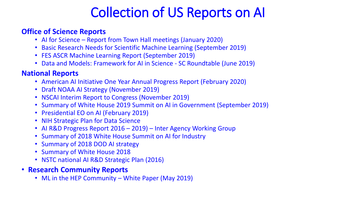# Collection of US Reports on AI

#### **Office of Science Reports**

- AI for Science Report from Town Hall meetings (January 2020)
- Basic Research Needs for Scientific Machine Learning (September 2019)
- FES ASCR Machine Learning Report (September 2019)
- Data and Models: Framework for AI in Science SC Roundtable (June 2019)

#### **National Reports**

- American AI Initiative One Year Annual Progress Report (February 2020)
- Draft NOAA AI Strategy (November 2019)
- NSCAI Interim Report to Congress (November 2019)
- Summary of White House 2019 Summit on AI in Government (September 2019)
- Presidential EO on AI (February 2019)
- NIH Strategic Plan for Data Science
- AI R&D Progress Report 2016 2019) Inter Agency Working Group
- Summary of 2018 White House Summit on AI for Industry
- Summary of 2018 DOD AI strategy
- Summary of White House 2018
- NSTC national AI R&D Strategic Plan (2016)
- **Research Community Reports**
	- ML in the HEP Community White Paper (May 2019)